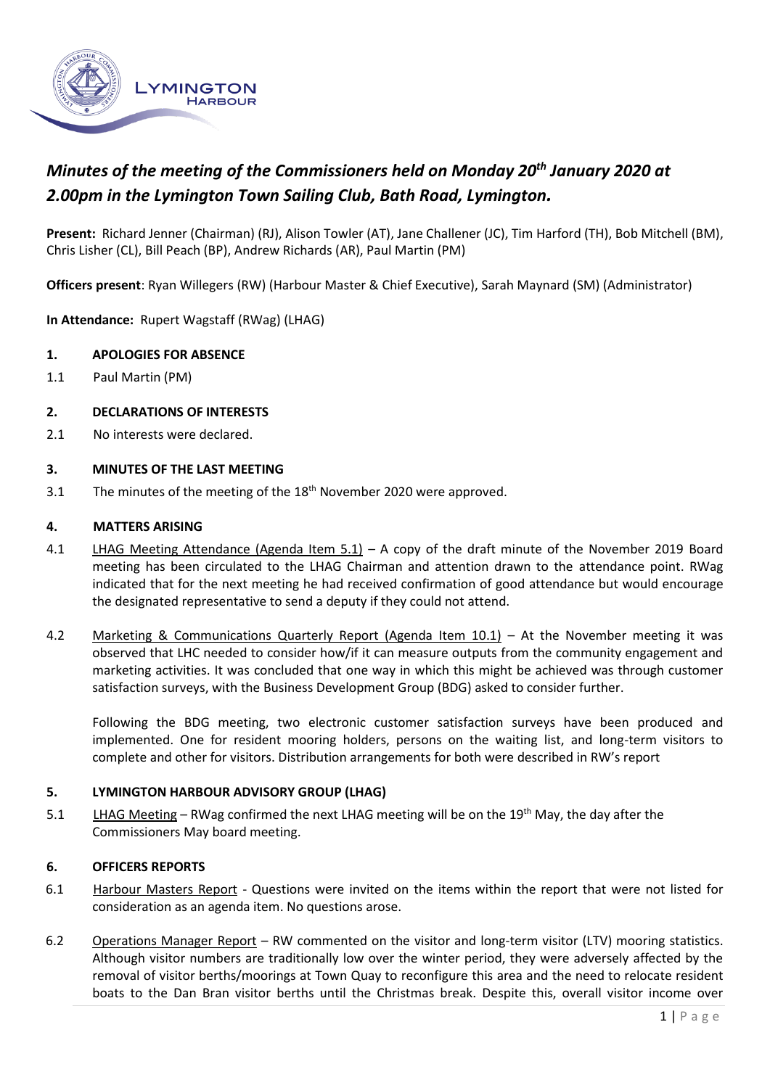

# *Minutes of the meeting of the Commissioners held on Monday 20th January 2020 at 2.00pm in the Lymington Town Sailing Club, Bath Road, Lymington.*

**Present:** Richard Jenner (Chairman) (RJ), Alison Towler (AT), Jane Challener (JC), Tim Harford (TH), Bob Mitchell (BM), Chris Lisher (CL), Bill Peach (BP), Andrew Richards (AR), Paul Martin (PM)

**Officers present**: Ryan Willegers (RW) (Harbour Master & Chief Executive), Sarah Maynard (SM) (Administrator)

**In Attendance:** Rupert Wagstaff (RWag) (LHAG)

### **1. APOLOGIES FOR ABSENCE**

1.1 Paul Martin (PM)

### **2. DECLARATIONS OF INTERESTS**

2.1 No interests were declared.

### **3. MINUTES OF THE LAST MEETING**

3.1 The minutes of the meeting of the 18<sup>th</sup> November 2020 were approved.

### **4. MATTERS ARISING**

- 4.1 LHAG Meeting Attendance (Agenda Item 5.1) A copy of the draft minute of the November 2019 Board meeting has been circulated to the LHAG Chairman and attention drawn to the attendance point. RWag indicated that for the next meeting he had received confirmation of good attendance but would encourage the designated representative to send a deputy if they could not attend.
- 4.2 Marketing & Communications Quarterly Report (Agenda Item 10.1) At the November meeting it was observed that LHC needed to consider how/if it can measure outputs from the community engagement and marketing activities. It was concluded that one way in which this might be achieved was through customer satisfaction surveys, with the Business Development Group (BDG) asked to consider further.

Following the BDG meeting, two electronic customer satisfaction surveys have been produced and implemented. One for resident mooring holders, persons on the waiting list, and long-term visitors to complete and other for visitors. Distribution arrangements for both were described in RW's report

#### **5. LYMINGTON HARBOUR ADVISORY GROUP (LHAG)**

5.1 LHAG Meeting – RWag confirmed the next LHAG meeting will be on the 19<sup>th</sup> May, the day after the Commissioners May board meeting.

### **6. OFFICERS REPORTS**

- 6.1 Harbour Masters Report Questions were invited on the items within the report that were not listed for consideration as an agenda item. No questions arose.
- 6.2 Operations Manager Report RW commented on the visitor and long-term visitor (LTV) mooring statistics. Although visitor numbers are traditionally low over the winter period, they were adversely affected by the removal of visitor berths/moorings at Town Quay to reconfigure this area and the need to relocate resident boats to the Dan Bran visitor berths until the Christmas break. Despite this, overall visitor income over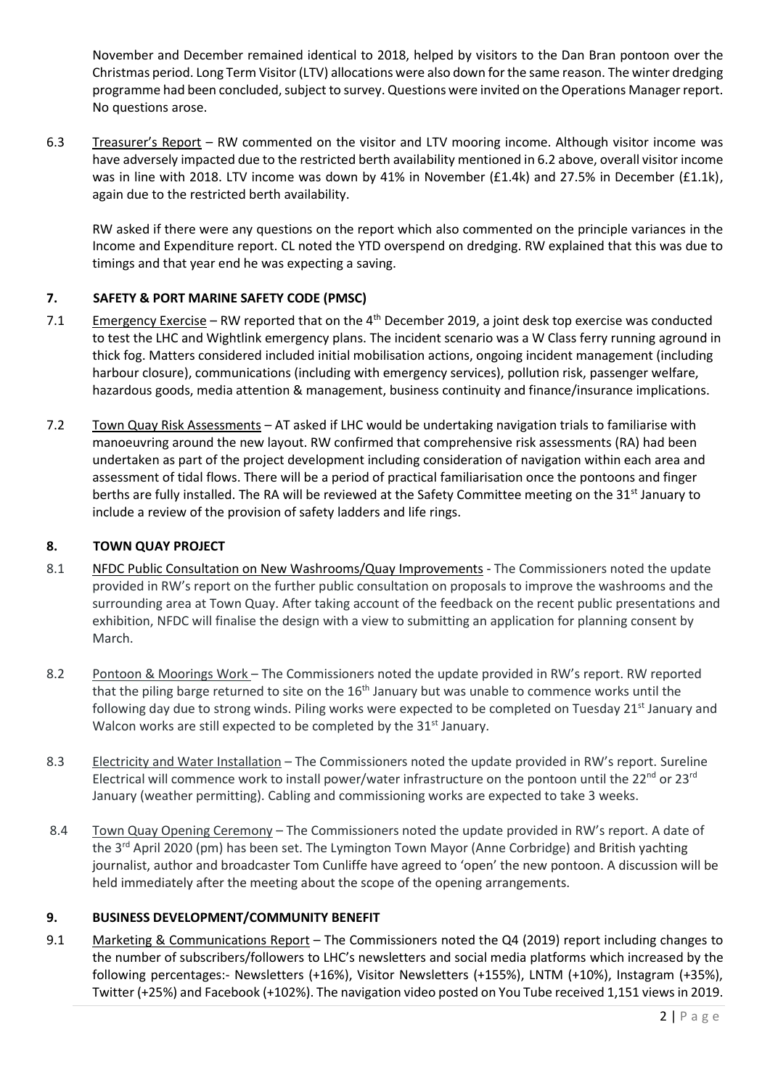November and December remained identical to 2018, helped by visitors to the Dan Bran pontoon over the Christmas period. Long Term Visitor (LTV) allocations were also down for the same reason. The winter dredging programme had been concluded, subject to survey. Questions were invited on the Operations Manager report. No questions arose.

6.3 Treasurer's Report – RW commented on the visitor and LTV mooring income. Although visitor income was have adversely impacted due to the restricted berth availability mentioned in 6.2 above, overall visitor income was in line with 2018. LTV income was down by 41% in November (£1.4k) and 27.5% in December (£1.1k), again due to the restricted berth availability.

RW asked if there were any questions on the report which also commented on the principle variances in the Income and Expenditure report. CL noted the YTD overspend on dredging. RW explained that this was due to timings and that year end he was expecting a saving.

# **7. SAFETY & PORT MARINE SAFETY CODE (PMSC)**

- 7.1 Emergency Exercise RW reported that on the  $4^{th}$  December 2019, a joint desk top exercise was conducted to test the LHC and Wightlink emergency plans. The incident scenario was a W Class ferry running aground in thick fog. Matters considered included initial mobilisation actions, ongoing incident management (including harbour closure), communications (including with emergency services), pollution risk, passenger welfare, hazardous goods, media attention & management, business continuity and finance/insurance implications.
- 7.2 Town Quay Risk Assessments AT asked if LHC would be undertaking navigation trials to familiarise with manoeuvring around the new layout. RW confirmed that comprehensive risk assessments (RA) had been undertaken as part of the project development including consideration of navigation within each area and assessment of tidal flows. There will be a period of practical familiarisation once the pontoons and finger berths are fully installed. The RA will be reviewed at the Safety Committee meeting on the 31<sup>st</sup> January to include a review of the provision of safety ladders and life rings.

### **8. TOWN QUAY PROJECT**

- 8.1 NFDC Public Consultation on New Washrooms/Quay Improvements The Commissioners noted the update provided in RW's report on the further public consultation on proposals to improve the washrooms and the surrounding area at Town Quay. After taking account of the feedback on the recent public presentations and exhibition, NFDC will finalise the design with a view to submitting an application for planning consent by March.
- 8.2 Pontoon & Moorings Work The Commissioners noted the update provided in RW's report. RW reported that the piling barge returned to site on the 16<sup>th</sup> January but was unable to commence works until the following day due to strong winds. Piling works were expected to be completed on Tuesday 21<sup>st</sup> January and Walcon works are still expected to be completed by the 31<sup>st</sup> January.
- 8.3 Electricity and Water Installation The Commissioners noted the update provided in RW's report. Sureline Electrical will commence work to install power/water infrastructure on the pontoon until the 22<sup>nd</sup> or 23<sup>rd</sup> January (weather permitting). Cabling and commissioning works are expected to take 3 weeks.
- 8.4 Town Quay Opening Ceremony The Commissioners noted the update provided in RW's report. A date of the 3<sup>rd</sup> April 2020 (pm) has been set. The Lymington Town Mayor (Anne Corbridge) and British yachting journalist, author and broadcaster Tom Cunliffe have agreed to 'open' the new pontoon. A discussion will be held immediately after the meeting about the scope of the opening arrangements.

# **9. BUSINESS DEVELOPMENT/COMMUNITY BENEFIT**

9.1 Marketing & Communications Report – The Commissioners noted the Q4 (2019) report including changes to the number of subscribers/followers to LHC's newsletters and social media platforms which increased by the following percentages:- Newsletters (+16%), Visitor Newsletters (+155%), LNTM (+10%), Instagram (+35%), Twitter (+25%) and Facebook (+102%). The navigation video posted on You Tube received 1,151 views in 2019.